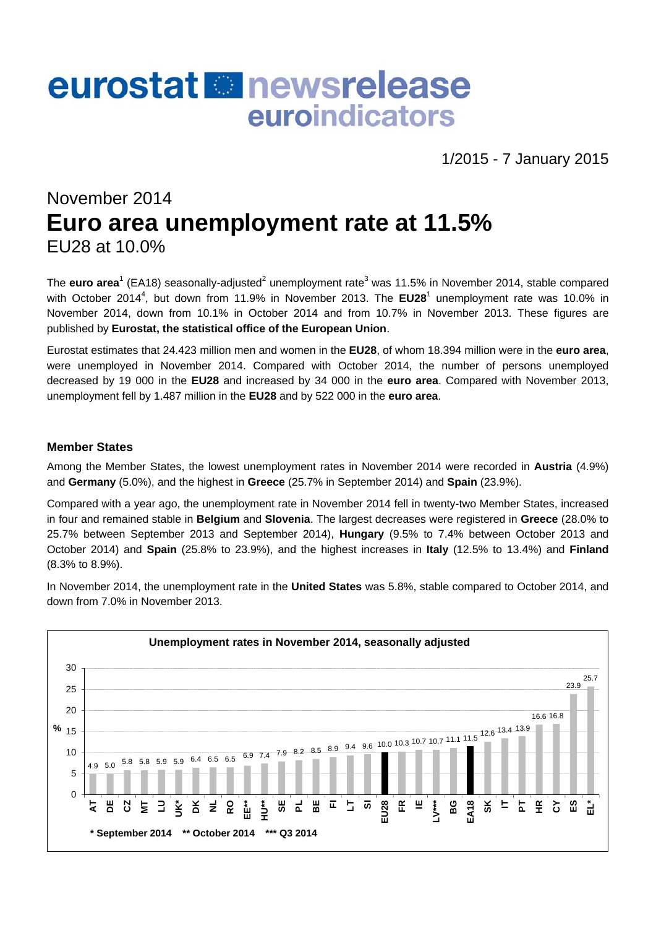# eurostat **Re** newsrelease euroindicators

1/2015 - 7 January 2015

# November 2014 **Euro area unemployment rate at 11.5%**  EU28 at 10.0%

The **euro area**<sup>1</sup> (EA18) seasonally-adjusted<sup>2</sup> unemployment rate<sup>3</sup> was 11.5% in November 2014, stable compared with October 2014<sup>4</sup>, but down from 11.9% in November 2013. The EU28<sup>1</sup> unemployment rate was 10.0% in November 2014, down from 10.1% in October 2014 and from 10.7% in November 2013. These figures are published by **Eurostat, the statistical office of the European Union**.

Eurostat estimates that 24.423 million men and women in the **EU28**, of whom 18.394 million were in the **euro area**, were unemployed in November 2014. Compared with October 2014, the number of persons unemployed decreased by 19 000 in the **EU28** and increased by 34 000 in the **euro area**. Compared with November 2013, unemployment fell by 1.487 million in the **EU28** and by 522 000 in the **euro area**.

#### **Member States**

Among the Member States, the lowest unemployment rates in November 2014 were recorded in **Austria** (4.9%) and **Germany** (5.0%), and the highest in **Greece** (25.7% in September 2014) and **Spain** (23.9%).

Compared with a year ago, the unemployment rate in November 2014 fell in twenty-two Member States, increased in four and remained stable in **Belgium** and **Slovenia**. The largest decreases were registered in **Greece** (28.0% to 25.7% between September 2013 and September 2014), **Hungary** (9.5% to 7.4% between October 2013 and October 2014) and **Spain** (25.8% to 23.9%), and the highest increases in **Italy** (12.5% to 13.4%) and **Finland** (8.3% to 8.9%).

In November 2014, the unemployment rate in the **United States** was 5.8%, stable compared to October 2014, and down from 7.0% in November 2013.

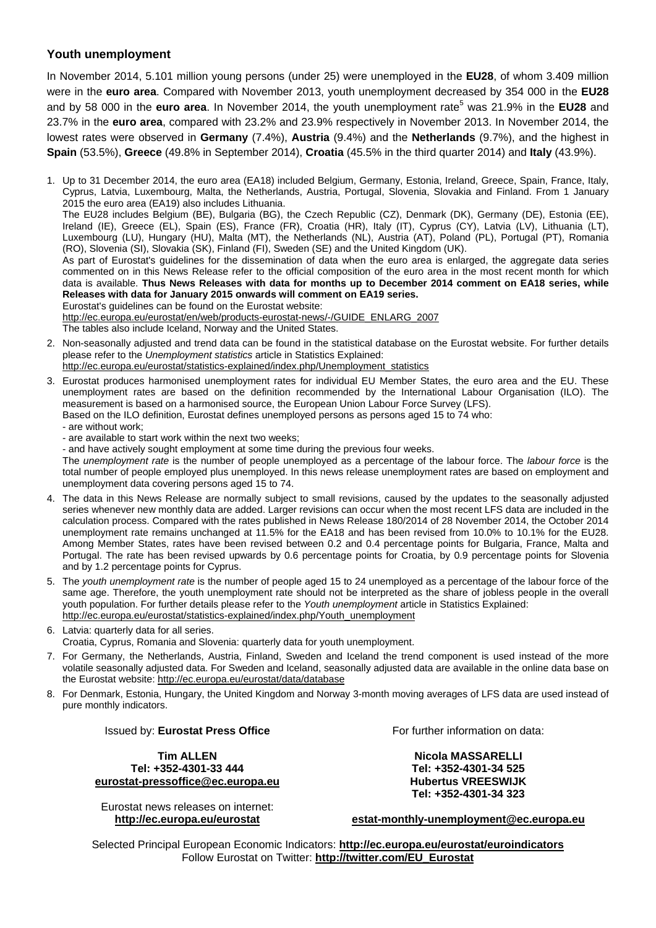#### **Youth unemployment**

In November 2014, 5.101 million young persons (under 25) were unemployed in the **EU28**, of whom 3.409 million were in the **euro area**. Compared with November 2013, youth unemployment decreased by 354 000 in the **EU28** and by 58 000 in the **euro area**. In November 2014, the youth unemployment rate<sup>5</sup> was 21.9% in the EU28 and 23.7% in the **euro area**, compared with 23.2% and 23.9% respectively in November 2013. In November 2014, the lowest rates were observed in **Germany** (7.4%), **Austria** (9.4%) and the **Netherlands** (9.7%), and the highest in **Spain** (53.5%), **Greece** (49.8% in September 2014), **Croatia** (45.5% in the third quarter 2014) and **Italy** (43.9%).

1. Up to 31 December 2014, the euro area (EA18) included Belgium, Germany, Estonia, Ireland, Greece, Spain, France, Italy, Cyprus, Latvia, Luxembourg, Malta, the Netherlands, Austria, Portugal, Slovenia, Slovakia and Finland. From 1 January 2015 the euro area (EA19) also includes Lithuania. The EU28 includes Belgium (BE), Bulgaria (BG), the Czech Republic (CZ), Denmark (DK), Germany (DE), Estonia (EE), Ireland (IE), Greece (EL), Spain (ES), France (FR), Croatia (HR), Italy (IT), Cyprus (CY), Latvia (LV), Lithuania (LT), Luxembourg (LU), Hungary (HU), Malta (MT), the Netherlands (NL), Austria (AT), Poland (PL), Portugal (PT), Romania (RO), Slovenia (SI), Slovakia (SK), Finland (FI), Sweden (SE) and the United Kingdom (UK). As part of Eurostat's guidelines for the dissemination of data when the euro area is enlarged, the aggregate data series commented on in this News Release refer to the official composition of the euro area in the most recent month for which data is available. **Thus News Releases with data for months up to December 2014 comment on EA18 series, while Releases with data for January 2015 onwards will comment on EA19 series.** Eurostat's guidelines can be found on the Eurostat website: [http://ec.europa.eu/eurostat/en/web/products-eurostat-news/-/GUIDE\\_ENLARG\\_2007](http://ec.europa.eu/eurostat/en/web/products-eurostat-news/-/GUIDE_ENLARG_2007)

The tables also include Iceland, Norway and the United States.

- 2. Non-seasonally adjusted and trend data can be found in the statistical database on the Eurostat website. For further details please refer to the *Unemployment statistics* article in Statistics Explained: [http://ec.europa.eu/eurostat/statistics-explained/index.php/Unemployment\\_statistics](http://ec.europa.eu/eurostat/statistics-explained/index.php/Unemployment_statistics)
- 3. Eurostat produces harmonised unemployment rates for individual EU Member States, the euro area and the EU. These unemployment rates are based on the definition recommended by the International Labour Organisation (ILO). The measurement is based on a harmonised source, the European Union Labour Force Survey (LFS). Based on the ILO definition, Eurostat defines unemployed persons as persons aged 15 to 74 who:
	- are without work;
	- are available to start work within the next two weeks;

- and have actively sought employment at some time during the previous four weeks.

The *unemployment rate* is the number of people unemployed as a percentage of the labour force. The *labour force* is the total number of people employed plus unemployed. In this news release unemployment rates are based on employment and unemployment data covering persons aged 15 to 74.

- 4. The data in this News Release are normally subject to small revisions, caused by the updates to the seasonally adjusted series whenever new monthly data are added. Larger revisions can occur when the most recent LFS data are included in the calculation process. Compared with the rates published in News Release 180/2014 of 28 November 2014, the October 2014 unemployment rate remains unchanged at 11.5% for the EA18 and has been revised from 10.0% to 10.1% for the EU28. Among Member States, rates have been revised between 0.2 and 0.4 percentage points for Bulgaria, France, Malta and Portugal. The rate has been revised upwards by 0.6 percentage points for Croatia, by 0.9 percentage points for Slovenia and by 1.2 percentage points for Cyprus.
- 5. The *youth unemployment rate* is the number of people aged 15 to 24 unemployed as a percentage of the labour force of the same age. Therefore, the youth unemployment rate should not be interpreted as the share of jobless people in the overall youth population. For further details please refer to the *Youth unemployment* article in Statistics Explained: [http://ec.europa.eu/eurostat/statistics-explained/index.php/Youth\\_unemployment](http://ec.europa.eu/eurostat/statistics-explained/index.php/Youth_unemployment)
- 6. Latvia: quarterly data for all series. Croatia, Cyprus, Romania and Slovenia: quarterly data for youth unemployment.
- 7. For Germany, the Netherlands, Austria, Finland, Sweden and Iceland the trend component is used instead of the more volatile seasonally adjusted data. For Sweden and Iceland, seasonally adjusted data are available in the online data base on the Eurostat website:<http://ec.europa.eu/eurostat/data/database>
- 8. For Denmark, Estonia, Hungary, the United Kingdom and Norway 3-month moving averages of LFS data are used instead of pure monthly indicators.

Issued by: **Eurostat Press Office**

**Tim ALLEN Tel: +352-4301-33 444 [eurostat-pressoffice@ec.europa.eu](mailto:eurostat-pressoffice@ec.europa.eu)** 

Eurostat news releases on internet: **<http://ec.europa.eu/eurostat>**

For further information on data:

**Nicola MASSARELLI Tel: +352-4301-34 525 Hubertus VREESWIJK Tel: +352-4301-34 323** 

**[estat-monthly-unemployment@ec.europa.eu](mailto:ESTAT-monthly-unemployment@ec.europa.eu)** 

Selected Principal European Economic Indicators: **<http://ec.europa.eu/eurostat/euroindicators>** Follow Eurostat on Twitter: **[http://twitter.com/EU\\_Eurostat](http://twitter.com/EU_Eurostat)**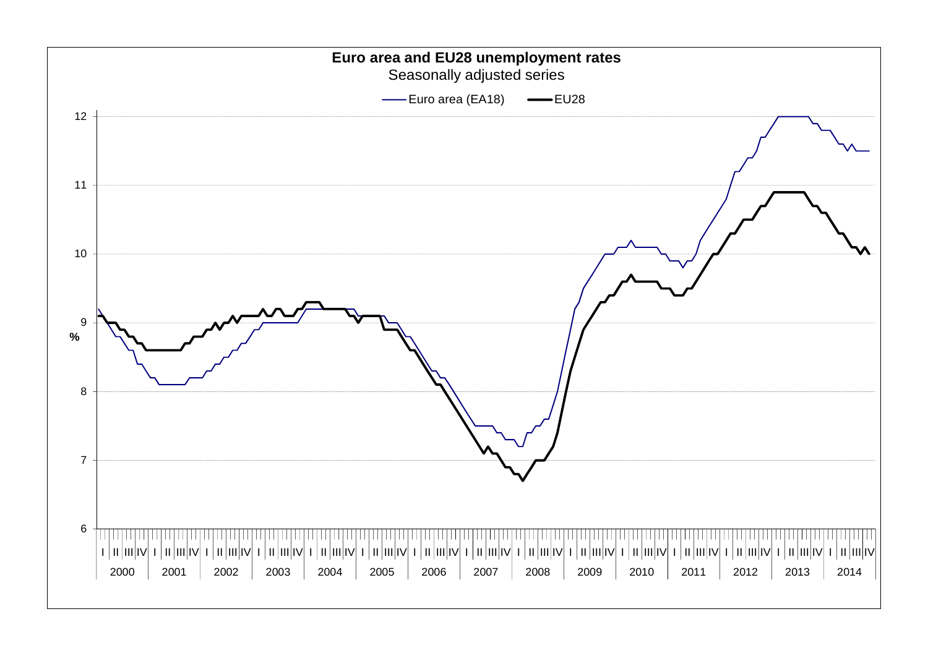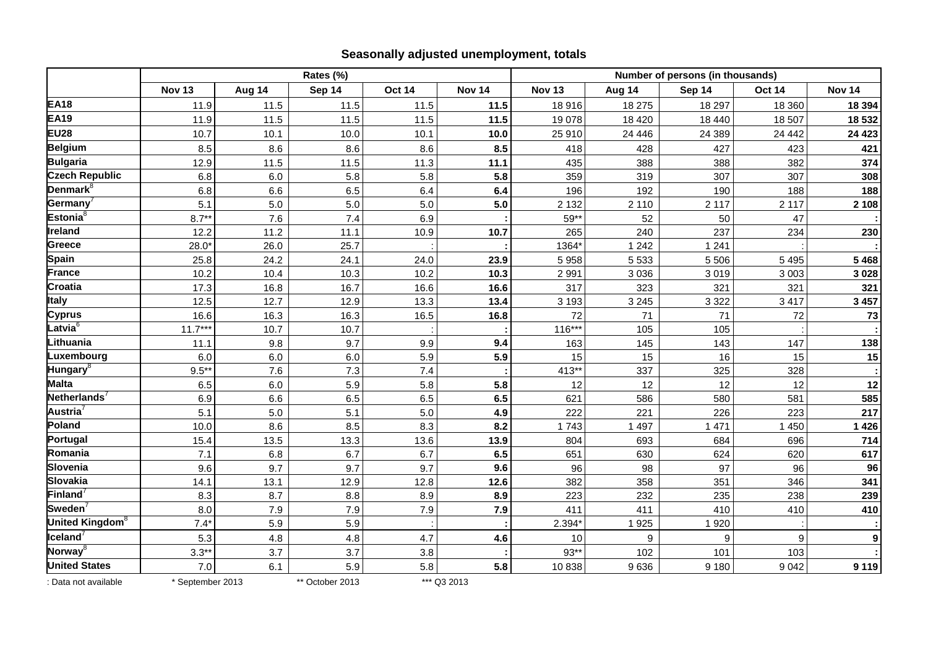#### **Seasonally adjusted unemployment, totals**

|                             | Rates (%)     |        |        |               |               |               | Number of persons (in thousands) |         |               |               |  |
|-----------------------------|---------------|--------|--------|---------------|---------------|---------------|----------------------------------|---------|---------------|---------------|--|
|                             | <b>Nov 13</b> | Aug 14 | Sep 14 | <b>Oct 14</b> | <b>Nov 14</b> | <b>Nov 13</b> | Aug 14                           | Sep 14  | <b>Oct 14</b> | <b>Nov 14</b> |  |
| <b>EA18</b>                 | 11.9          | 11.5   | 11.5   | 11.5          | 11.5          | 18 916        | 18 275                           | 18 297  | 18 360        | 18 3 94       |  |
| <b>EA19</b>                 | 11.9          | 11.5   | 11.5   | 11.5          | 11.5          | 19 078        | 18 4 20                          | 18 4 40 | 18 507        | 18 532        |  |
| <b>EU28</b>                 | 10.7          | 10.1   | 10.0   | 10.1          | 10.0          | 25 910        | 24 4 4 6                         | 24 3 89 | 24 4 4 2      | 24 4 23       |  |
| <b>Belgium</b>              | 8.5           | 8.6    | 8.6    | 8.6           | 8.5           | 418           | 428                              | 427     | 423           | 421           |  |
| <b>Bulgaria</b>             | 12.9          | 11.5   | 11.5   | 11.3          | 11.1          | 435           | 388                              | 388     | 382           | 374           |  |
| <b>Czech Republic</b>       | 6.8           | 6.0    | 5.8    | 5.8           | 5.8           | 359           | 319                              | 307     | 307           | 308           |  |
| Denmark <sup>8</sup>        | 6.8           | 6.6    | 6.5    | 6.4           | 6.4           | 196           | 192                              | 190     | 188           | 188           |  |
| Germany <sup>7</sup>        | 5.1           | $5.0$  | 5.0    | 5.0           | 5.0           | 2 1 3 2       | 2 1 1 0                          | 2 1 1 7 | 2 1 1 7       | 2 1 0 8       |  |
| Estonia ${}^8$              | $8.7**$       | 7.6    | 7.4    | 6.9           |               | 59**          | 52                               | 50      | 47            |               |  |
| Ireland                     | 12.2          | 11.2   | 11.1   | 10.9          | 10.7          | 265           | 240                              | 237     | 234           | 230           |  |
| <b>Greece</b>               | $28.0*$       | 26.0   | 25.7   |               |               | 1364*         | 1 2 4 2                          | 1 2 4 1 |               |               |  |
| <b>Spain</b>                | 25.8          | 24.2   | 24.1   | 24.0          | 23.9          | 5 9 5 8       | 5 5 3 3                          | 5 5 0 6 | 5 4 9 5       | 5 4 6 8       |  |
| <b>France</b>               | 10.2          | 10.4   | 10.3   | 10.2          | 10.3          | 2 9 9 1       | 3 0 3 6                          | 3019    | 3 0 0 3       | 3 0 28        |  |
| Croatia                     | 17.3          | 16.8   | 16.7   | 16.6          | 16.6          | 317           | 323                              | 321     | 321           | 321           |  |
| <b>Italy</b>                | 12.5          | 12.7   | 12.9   | 13.3          | 13.4          | 3 1 9 3       | 3 2 4 5                          | 3 3 2 2 | 3 4 1 7       | 3 4 5 7       |  |
| <b>Cyprus</b>               | 16.6          | 16.3   | 16.3   | 16.5          | 16.8          | 72            | 71                               | 71      | 72            | 73            |  |
| Latvia $^{\rm 6}$           | $11.7***$     | 10.7   | 10.7   |               |               | $116***$      | 105                              | 105     |               |               |  |
| Lithuania                   | 11.1          | 9.8    | 9.7    | 9.9           | 9.4           | 163           | 145                              | 143     | 147           | 138           |  |
| Luxembourg                  | 6.0           | 6.0    | 6.0    | 5.9           | 5.9           | 15            | 15                               | 16      | 15            | 15            |  |
| Hungary <sup>8</sup>        | $9.5***$      | 7.6    | 7.3    | 7.4           |               | $413**$       | 337                              | 325     | 328           |               |  |
| <b>Malta</b>                | 6.5           | 6.0    | 5.9    | 5.8           | 5.8           | 12            | 12                               | 12      | 12            | 12            |  |
| Netherlands <sup>7</sup>    | 6.9           | 6.6    | 6.5    | 6.5           | 6.5           | 621           | 586                              | 580     | 581           | 585           |  |
| Austria $^7$                | 5.1           | 5.0    | 5.1    | 5.0           | 4.9           | 222           | 221                              | 226     | 223           | 217           |  |
| Poland                      | 10.0          | 8.6    | 8.5    | 8.3           | 8.2           | 1743          | 1 4 9 7                          | 1 4 7 1 | 1 4 5 0       | 1 4 2 6       |  |
| Portugal                    | 15.4          | 13.5   | 13.3   | 13.6          | 13.9          | 804           | 693                              | 684     | 696           | 714           |  |
| Romania                     | 7.1           | 6.8    | 6.7    | 6.7           | 6.5           | 651           | 630                              | 624     | 620           | 617           |  |
| Slovenia                    | 9.6           | 9.7    | 9.7    | 9.7           | 9.6           | 96            | 98                               | 97      | 96            | 96            |  |
| <b>Slovakia</b>             | 14.1          | 13.1   | 12.9   | 12.8          | 12.6          | 382           | 358                              | 351     | 346           | 341           |  |
| <b>Finland</b>              | 8.3           | 8.7    | 8.8    | 8.9           | 8.9           | 223           | 232                              | 235     | 238           | 239           |  |
| Sweden <sup>7</sup>         | 8.0           | 7.9    | 7.9    | 7.9           | 7.9           | 411           | 411                              | 410     | 410           | 410           |  |
| United Kingdom <sup>8</sup> | $7.4*$        | 5.9    | 5.9    |               |               | 2.394'        | 1925                             | 1920    |               |               |  |
| Iceland $^7$                | 5.3           | 4.8    | 4.8    | 4.7           | 4.6           | 10            | 9                                | 9       | 9             | 9             |  |
| Norway <sup>8</sup>         | $3.3**$       | 3.7    | 3.7    | 3.8           |               | $93**$        | 102                              | 101     | 103           |               |  |
| <b>United States</b>        | $7.0\,$       | 6.1    | 5.9    | 5.8           | 5.8           | 10838         | 9636                             | 9 1 8 0 | 9042          | 9 1 1 9       |  |

: Data not available \* September 2013 \*\* October 2013 \*\*\* Q3 2013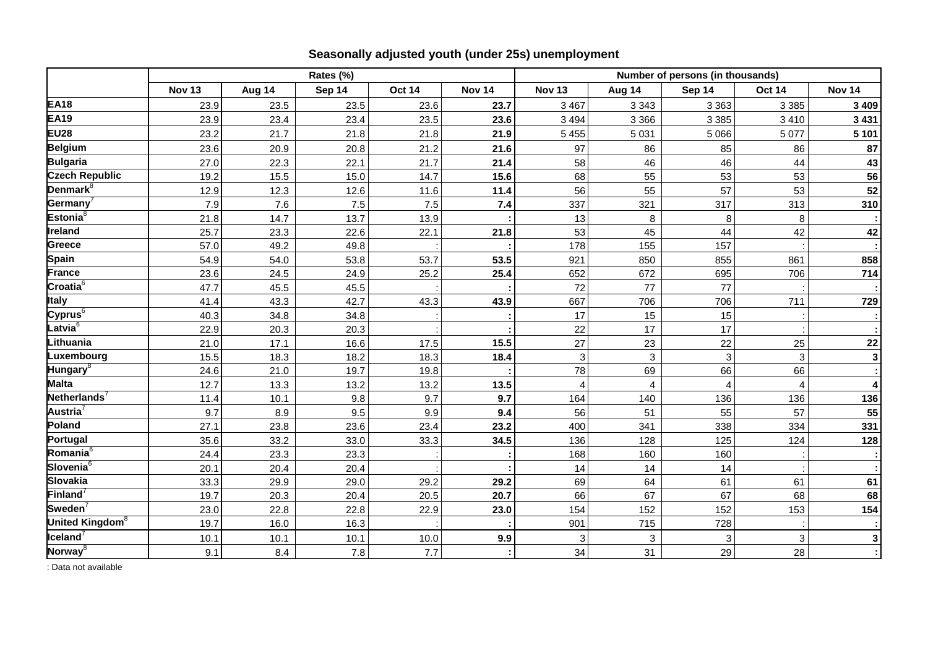|                                            |               |        | Rates (%) |               |               | Number of persons (in thousands) |              |                |                |                   |
|--------------------------------------------|---------------|--------|-----------|---------------|---------------|----------------------------------|--------------|----------------|----------------|-------------------|
|                                            | <b>Nov 13</b> | Aug 14 | Sep 14    | <b>Oct 14</b> | <b>Nov 14</b> | <b>Nov 13</b>                    | Aug 14       | Sep 14         | Oct 14         | Nov <sub>14</sub> |
| <b>EA18</b>                                | 23.9          | 23.5   | 23.5      | 23.6          | 23.7          | 3 4 6 7                          | 3 3 4 3      | 3 3 6 3        | 3 3 8 5        | 3 4 0 9           |
| <b>EA19</b>                                | 23.9          | 23.4   | 23.4      | 23.5          | 23.6          | 3 4 9 4                          | 3 3 6 6      | 3 3 8 5        | 3 4 1 0        | 3 4 3 1           |
| <b>EU28</b>                                | 23.2          | 21.7   | 21.8      | 21.8          | 21.9          | 5 4 5 5                          | 5 0 31       | 5 0 6 6        | 5 0 7 7        | 5 1 0 1           |
| <b>Belgium</b>                             | 23.6          | 20.9   | 20.8      | 21.2          | 21.6          | 97                               | 86           | 85             | 86             | 87                |
| <b>Bulgaria</b>                            | 27.0          | 22.3   | 22.1      | 21.7          | 21.4          | 58                               | 46           | 46             | 44             | 43                |
| <b>Czech Republic</b>                      | 19.2          | 15.5   | 15.0      | 14.7          | 15.6          | 68                               | 55           | 53             | 53             | 56                |
| Denmark <sup>8</sup>                       | 12.9          | 12.3   | 12.6      | 11.6          | 11.4          | 56                               | 55           | 57             | 53             | 52                |
| Germany                                    | 7.9           | 7.6    | 7.5       | 7.5           | 7.4           | 337                              | 321          | 317            | 313            | 310               |
| Estonia <sup>8</sup>                       | 21.8          | 14.7   | 13.7      | 13.9          |               | 13                               | 8            | 8              | 8              |                   |
| Ireland                                    | 25.7          | 23.3   | 22.6      | 22.1          | 21.8          | 53                               | 45           | 44             | 42             | 42                |
| Greece                                     | 57.0          | 49.2   | 49.8      |               |               | 178                              | 155          | 157            |                |                   |
| Spain                                      | 54.9          | 54.0   | 53.8      | 53.7          | 53.5          | 921                              | 850          | 855            | 861            | 858               |
| <b>France</b>                              | 23.6          | 24.5   | 24.9      | 25.2          | 25.4          | 652                              | 672          | 695            | 706            | 714               |
| $\overline{\text{Croatia}^6}$              | 47.7          | 45.5   | 45.5      |               |               | 72                               | 77           | 77             |                |                   |
| <b>Italy</b>                               | 41.4          | 43.3   | 42.7      | 43.3          | 43.9          | 667                              | 706          | 706            | 711            | 729               |
| Cyprus $^6$                                | 40.3          | 34.8   | 34.8      |               |               | 17                               | 15           | 15             |                |                   |
| Latvia $^6$                                | 22.9          | 20.3   | 20.3      |               |               | 22                               | 17           | 17             |                |                   |
| Lithuania                                  | 21.0          | 17.1   | 16.6      | 17.5          | 15.5          | 27                               | 23           | 22             | 25             | ${\bf 22}$        |
| Luxembourg                                 | 15.5          | 18.3   | 18.2      | 18.3          | 18.4          | 3                                | $\mathbf{3}$ | $\mathbf{3}$   | 3              | $\mathbf{3}$      |
| Hungary <sup>8</sup>                       | 24.6          | 21.0   | 19.7      | 19.8          |               | 78                               | 69           | 66             | 66             |                   |
| <b>Malta</b>                               | 12.7          | 13.3   | 13.2      | 13.2          | 13.5          | $\overline{4}$                   | 4            | $\overline{A}$ | $\overline{4}$ | 4                 |
| Netherlands <sup>7</sup>                   | 11.4          | 10.1   | 9.8       | 9.7           | 9.7           | 164                              | 140          | 136            | 136            | 136               |
| Austria <sup>7</sup>                       | 9.7           | 8.9    | 9.5       | 9.9           | 9.4           | 56                               | 51           | 55             | 57             | 55                |
| Poland                                     | 27.1          | 23.8   | 23.6      | 23.4          | 23.2          | 400                              | 341          | 338            | 334            | 331               |
| Portugal                                   | 35.6          | 33.2   | 33.0      | 33.3          | 34.5          | 136                              | 128          | 125            | 124            | 128               |
| Romania <sup>6</sup>                       | 24.4          | 23.3   | 23.3      |               |               | 168                              | 160          | 160            |                |                   |
| Slovenia <sup>6</sup>                      | 20.1          | 20.4   | 20.4      |               |               | 14                               | 14           | 14             |                |                   |
| Slovakia                                   | 33.3          | 29.9   | 29.0      | 29.2          | 29.2          | 69                               | 64           | 61             | 61             | 61                |
| Finland <sup>7</sup>                       | 19.7          | 20.3   | 20.4      | 20.5          | 20.7          | 66                               | 67           | 67             | 68             | 68                |
| Sweden $\sqrt{ }$                          | 23.0          | 22.8   | 22.8      | 22.9          | 23.0          | 154                              | 152          | 152            | 153            | 154               |
| United Kingdom <sup>8</sup>                | 19.7          | 16.0   | 16.3      |               |               | 901                              | 715          | 728            |                |                   |
| $\overline{\mathsf{I}$ celand <sup>7</sup> | 10.1          | 10.1   | 10.1      | 10.0          | 9.9           | 3                                | 3            | $\sqrt{3}$     | 3              | 3                 |
| Norway <sup>8</sup>                        | 9.1           | 8.4    | 7.8       | 7.7           |               | 34                               | 31           | 29             | 28             |                   |

### **Seasonally adjusted youth (under 25s) unemployment**

: Data not available